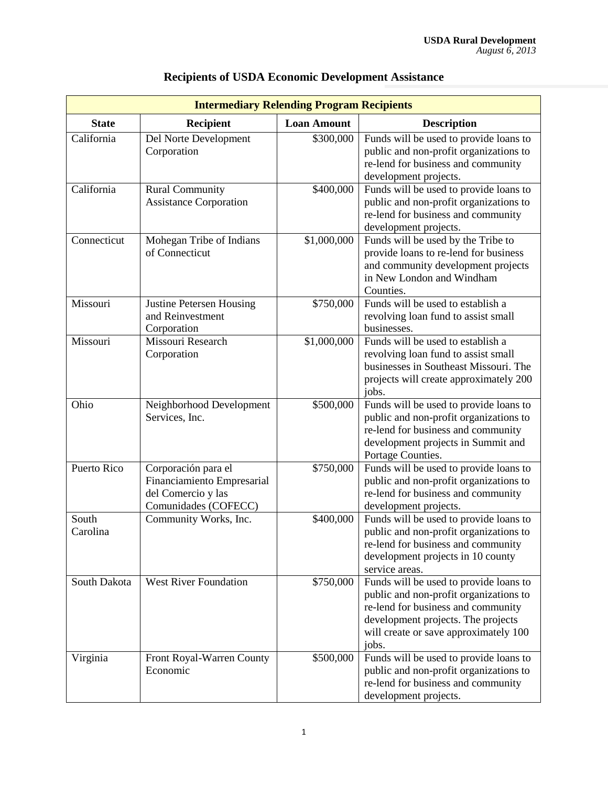|              | <b>Intermediary Relending Program Recipients</b> |                    |                                                                             |
|--------------|--------------------------------------------------|--------------------|-----------------------------------------------------------------------------|
| <b>State</b> | <b>Recipient</b>                                 | <b>Loan Amount</b> | <b>Description</b>                                                          |
| California   | Del Norte Development                            | \$300,000          | Funds will be used to provide loans to                                      |
|              | Corporation                                      |                    | public and non-profit organizations to                                      |
|              |                                                  |                    | re-lend for business and community                                          |
|              |                                                  |                    | development projects.                                                       |
| California   | <b>Rural Community</b>                           | \$400,000          | Funds will be used to provide loans to                                      |
|              | <b>Assistance Corporation</b>                    |                    | public and non-profit organizations to                                      |
|              |                                                  |                    | re-lend for business and community                                          |
|              |                                                  |                    | development projects.                                                       |
| Connecticut  | Mohegan Tribe of Indians<br>of Connecticut       | \$1,000,000        | Funds will be used by the Tribe to                                          |
|              |                                                  |                    | provide loans to re-lend for business<br>and community development projects |
|              |                                                  |                    | in New London and Windham                                                   |
|              |                                                  |                    | Counties.                                                                   |
| Missouri     | <b>Justine Petersen Housing</b>                  | \$750,000          | Funds will be used to establish a                                           |
|              | and Reinvestment                                 |                    | revolving loan fund to assist small                                         |
|              | Corporation                                      |                    | businesses.                                                                 |
| Missouri     | Missouri Research                                | \$1,000,000        | Funds will be used to establish a                                           |
|              | Corporation                                      |                    | revolving loan fund to assist small                                         |
|              |                                                  |                    | businesses in Southeast Missouri. The                                       |
|              |                                                  |                    | projects will create approximately 200                                      |
|              |                                                  |                    | jobs.                                                                       |
| Ohio         | Neighborhood Development                         | \$500,000          | Funds will be used to provide loans to                                      |
|              | Services, Inc.                                   |                    | public and non-profit organizations to                                      |
|              |                                                  |                    | re-lend for business and community                                          |
|              |                                                  |                    | development projects in Summit and                                          |
|              |                                                  |                    | Portage Counties.                                                           |
| Puerto Rico  | Corporación para el                              | \$750,000          | Funds will be used to provide loans to                                      |
|              | Financiamiento Empresarial                       |                    | public and non-profit organizations to                                      |
|              | del Comercio y las<br>Comunidades (COFECC)       |                    | re-lend for business and community                                          |
| South        | Community Works, Inc.                            | \$400,000          | development projects.<br>Funds will be used to provide loans to             |
| Carolina     |                                                  |                    | public and non-profit organizations to                                      |
|              |                                                  |                    | re-lend for business and community                                          |
|              |                                                  |                    | development projects in 10 county                                           |
|              |                                                  |                    | service areas.                                                              |
| South Dakota | <b>West River Foundation</b>                     | \$750,000          | Funds will be used to provide loans to                                      |
|              |                                                  |                    | public and non-profit organizations to                                      |
|              |                                                  |                    | re-lend for business and community                                          |
|              |                                                  |                    | development projects. The projects                                          |
|              |                                                  |                    | will create or save approximately 100                                       |
|              |                                                  |                    | jobs.                                                                       |
| Virginia     | Front Royal-Warren County                        | \$500,000          | Funds will be used to provide loans to                                      |
|              | Economic                                         |                    | public and non-profit organizations to                                      |
|              |                                                  |                    | re-lend for business and community                                          |
|              |                                                  |                    | development projects.                                                       |

## **Recipients of USDA Economic Development Assistance**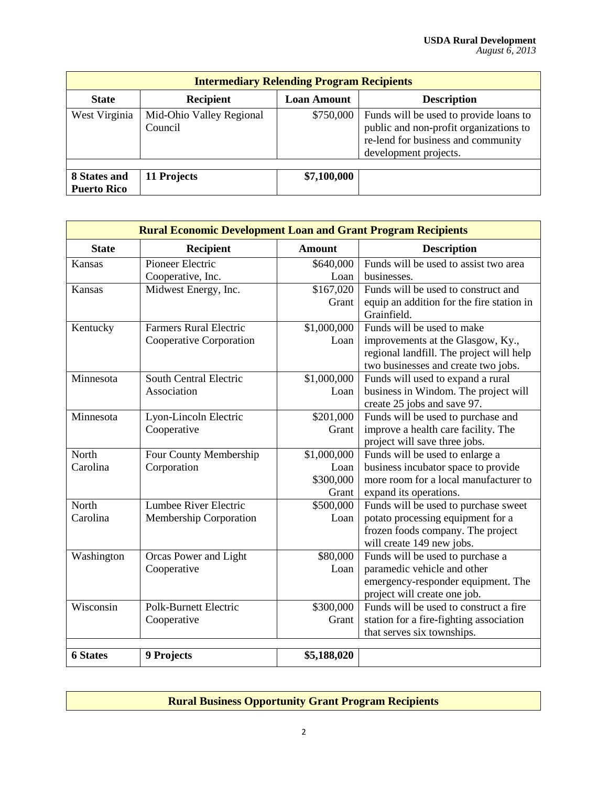| <b>Intermediary Relending Program Recipients</b> |                                     |                    |                                                                                                                                                 |  |  |
|--------------------------------------------------|-------------------------------------|--------------------|-------------------------------------------------------------------------------------------------------------------------------------------------|--|--|
| <b>State</b>                                     | <b>Recipient</b>                    | <b>Loan Amount</b> | <b>Description</b>                                                                                                                              |  |  |
| West Virginia                                    | Mid-Ohio Valley Regional<br>Council | \$750,000          | Funds will be used to provide loans to<br>public and non-profit organizations to<br>re-lend for business and community<br>development projects. |  |  |
| 8 States and<br><b>Puerto Rico</b>               | 11 Projects                         | \$7,100,000        |                                                                                                                                                 |  |  |

| <b>Rural Economic Development Loan and Grant Program Recipients</b> |                               |                       |                                                                           |  |  |
|---------------------------------------------------------------------|-------------------------------|-----------------------|---------------------------------------------------------------------------|--|--|
| <b>State</b>                                                        | <b>Recipient</b>              | <b>Amount</b>         | <b>Description</b>                                                        |  |  |
| Kansas                                                              | Pioneer Electric              | \$640,000             | Funds will be used to assist two area                                     |  |  |
|                                                                     | Cooperative, Inc.             | Loan                  | businesses.                                                               |  |  |
| Kansas                                                              | Midwest Energy, Inc.          | \$167,020             | Funds will be used to construct and                                       |  |  |
|                                                                     |                               | Grant                 | equip an addition for the fire station in<br>Grainfield.                  |  |  |
| Kentucky                                                            | <b>Farmers Rural Electric</b> | \$1,000,000           | Funds will be used to make                                                |  |  |
|                                                                     | Cooperative Corporation       | Loan                  | improvements at the Glasgow, Ky.,                                         |  |  |
|                                                                     |                               |                       | regional landfill. The project will help                                  |  |  |
|                                                                     |                               |                       | two businesses and create two jobs.                                       |  |  |
| Minnesota                                                           | <b>South Central Electric</b> | \$1,000,000           | Funds will used to expand a rural                                         |  |  |
|                                                                     | Association                   | Loan                  | business in Windom. The project will                                      |  |  |
|                                                                     |                               |                       | create 25 jobs and save 97.                                               |  |  |
| Minnesota                                                           | Lyon-Lincoln Electric         | $\overline{$201,000}$ | Funds will be used to purchase and                                        |  |  |
|                                                                     | Cooperative                   | Grant                 | improve a health care facility. The                                       |  |  |
|                                                                     |                               |                       | project will save three jobs.                                             |  |  |
| North                                                               | Four County Membership        | \$1,000,000           | Funds will be used to enlarge a                                           |  |  |
| Carolina                                                            | Corporation                   | Loan                  | business incubator space to provide                                       |  |  |
|                                                                     |                               | \$300,000             | more room for a local manufacturer to                                     |  |  |
| North                                                               | Lumbee River Electric         | Grant<br>\$500,000    | expand its operations.                                                    |  |  |
| Carolina                                                            | Membership Corporation        | Loan                  | Funds will be used to purchase sweet<br>potato processing equipment for a |  |  |
|                                                                     |                               |                       | frozen foods company. The project                                         |  |  |
|                                                                     |                               |                       | will create 149 new jobs.                                                 |  |  |
| Washington                                                          | Orcas Power and Light         | \$80,000              | Funds will be used to purchase a                                          |  |  |
|                                                                     | Cooperative                   | Loan                  | paramedic vehicle and other                                               |  |  |
|                                                                     |                               |                       | emergency-responder equipment. The                                        |  |  |
|                                                                     |                               |                       | project will create one job.                                              |  |  |
| Wisconsin                                                           | <b>Polk-Burnett Electric</b>  | \$300,000             | Funds will be used to construct a fire                                    |  |  |
|                                                                     | Cooperative                   | Grant                 | station for a fire-fighting association                                   |  |  |
|                                                                     |                               |                       | that serves six townships.                                                |  |  |
|                                                                     |                               |                       |                                                                           |  |  |
| <b>6 States</b>                                                     | 9 Projects                    | \$5,188,020           |                                                                           |  |  |

## **Rural Business Opportunity Grant Program Recipients**